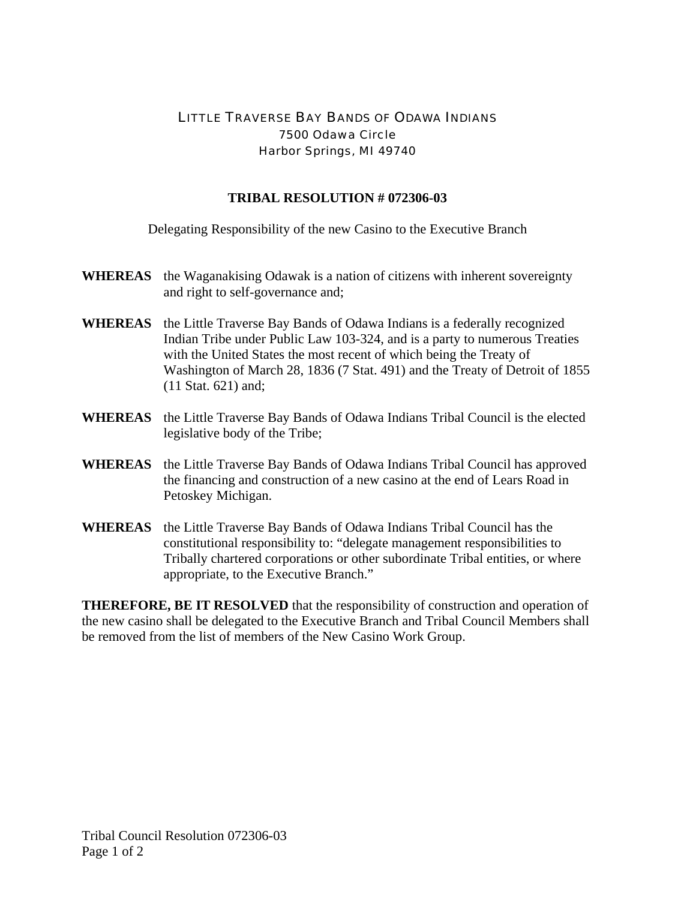## LITTLE TRAVERSE BAY BANDS OF ODAWA INDIANS 7500 Odawa Circle Harbor Springs, MI 49740

## **TRIBAL RESOLUTION # 072306-03**

Delegating Responsibility of the new Casino to the Executive Branch

- **WHEREAS** the Waganakising Odawak is a nation of citizens with inherent sovereignty and right to self-governance and;
- **WHEREAS** the Little Traverse Bay Bands of Odawa Indians is a federally recognized Indian Tribe under Public Law 103-324, and is a party to numerous Treaties with the United States the most recent of which being the Treaty of Washington of March 28, 1836 (7 Stat. 491) and the Treaty of Detroit of 1855 (11 Stat. 621) and;
- **WHEREAS** the Little Traverse Bay Bands of Odawa Indians Tribal Council is the elected legislative body of the Tribe;
- **WHEREAS** the Little Traverse Bay Bands of Odawa Indians Tribal Council has approved the financing and construction of a new casino at the end of Lears Road in Petoskey Michigan.
- **WHEREAS** the Little Traverse Bay Bands of Odawa Indians Tribal Council has the constitutional responsibility to: "delegate management responsibilities to Tribally chartered corporations or other subordinate Tribal entities, or where appropriate, to the Executive Branch."

**THEREFORE, BE IT RESOLVED** that the responsibility of construction and operation of the new casino shall be delegated to the Executive Branch and Tribal Council Members shall be removed from the list of members of the New Casino Work Group.